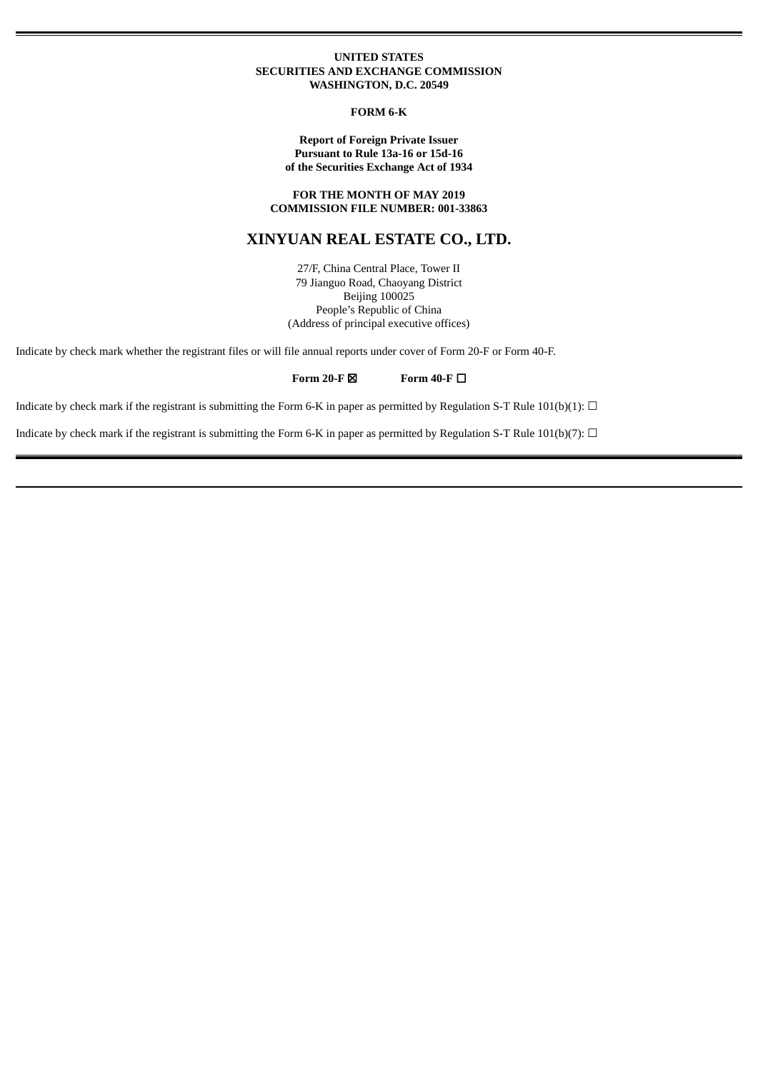#### **UNITED STATES SECURITIES AND EXCHANGE COMMISSION WASHINGTON, D.C. 20549**

#### **FORM 6-K**

#### **Report of Foreign Private Issuer Pursuant to Rule 13a-16 or 15d-16 of the Securities Exchange Act of 1934**

### **FOR THE MONTH OF MAY 2019 COMMISSION FILE NUMBER: 001-33863**

# **XINYUAN REAL ESTATE CO., LTD.**

27/F, China Central Place, Tower II 79 Jianguo Road, Chaoyang District Beijing 100025 People's Republic of China (Address of principal executive offices)

Indicate by check mark whether the registrant files or will file annual reports under cover of Form 20-F or Form 40-F.

#### **Form 20-F** ☒ **Form 40-F** ☐

Indicate by check mark if the registrant is submitting the Form 6-K in paper as permitted by Regulation S-T Rule 101(b)(1):  $\Box$ 

Indicate by check mark if the registrant is submitting the Form 6-K in paper as permitted by Regulation S-T Rule 101(b)(7):  $\Box$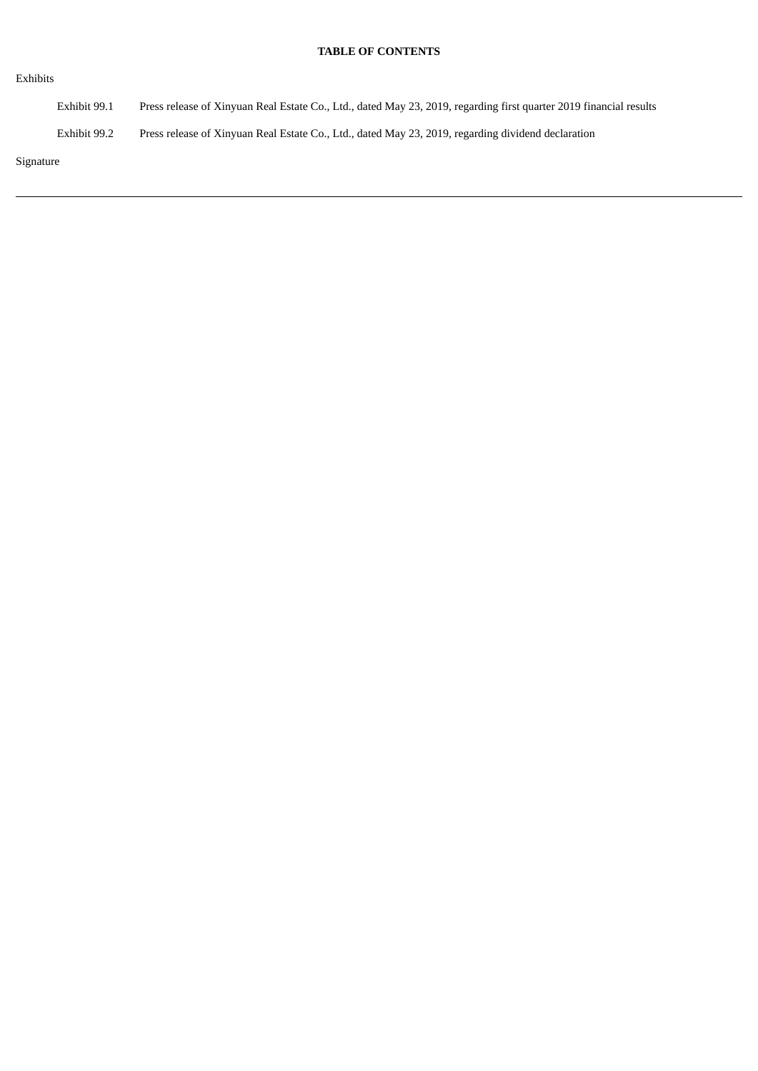# **TABLE OF CONTENTS**

| Exhibits     |                                                                                                                    |
|--------------|--------------------------------------------------------------------------------------------------------------------|
| Exhibit 99.1 | Press release of Xinyuan Real Estate Co., Ltd., dated May 23, 2019, regarding first quarter 2019 financial results |
| Exhibit 99.2 | Press release of Xinyuan Real Estate Co., Ltd., dated May 23, 2019, regarding dividend declaration                 |
| Signature    |                                                                                                                    |

Signa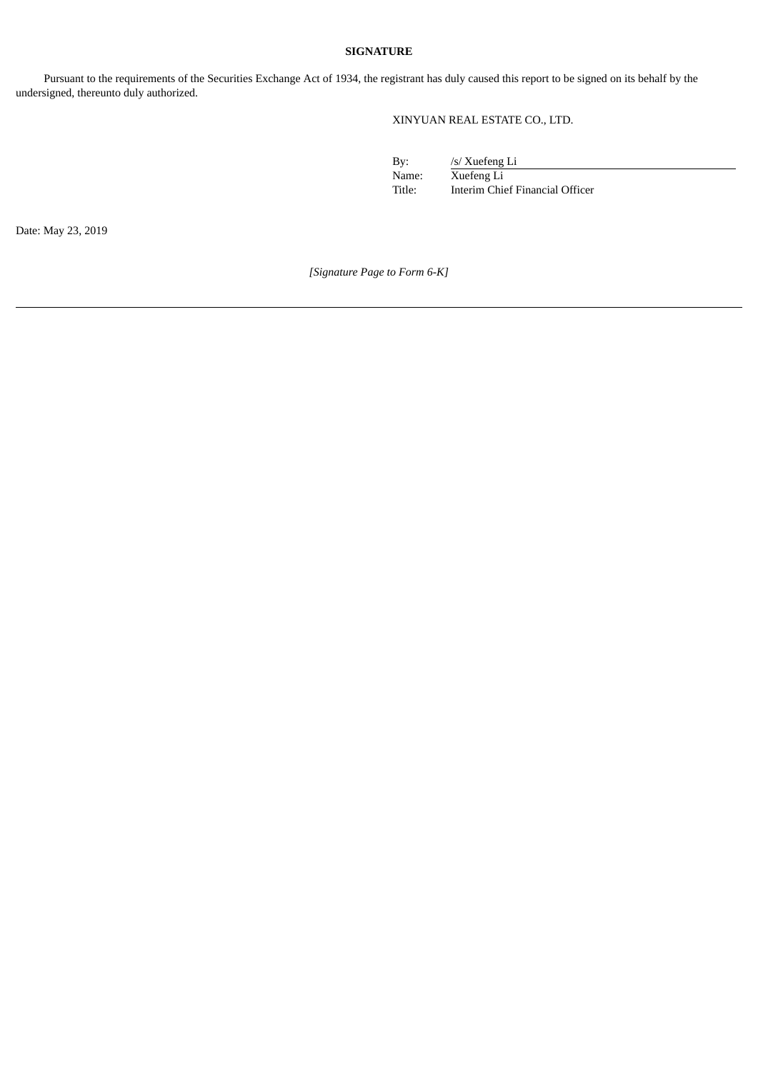# **SIGNATURE**

Pursuant to the requirements of the Securities Exchange Act of 1934, the registrant has duly caused this report to be signed on its behalf by the undersigned, thereunto duly authorized.

# XINYUAN REAL ESTATE CO., LTD.

By: /s/ Xuefeng Li Name: Xuefeng Li<br>Title: Interim Chi Interim Chief Financial Officer

Date: May 23, 2019

*[Signature Page to Form 6-K]*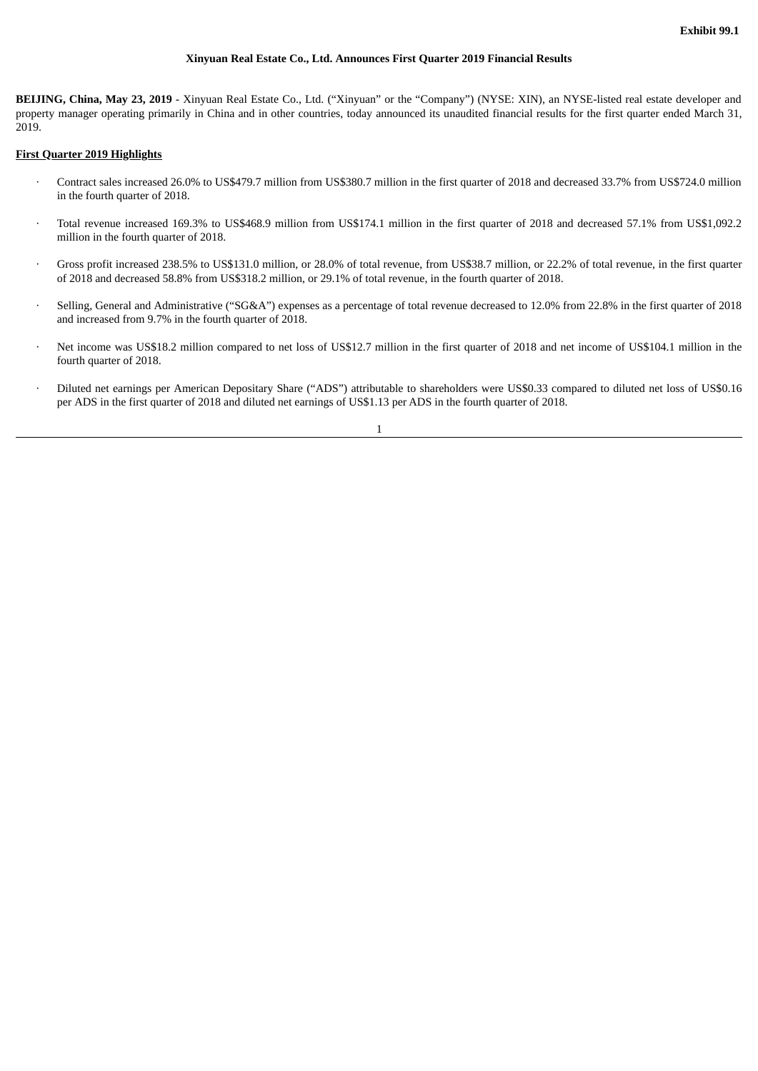### **Xinyuan Real Estate Co., Ltd. Announces First Quarter 2019 Financial Results**

**BEIJING, China, May 23, 2019** - Xinyuan Real Estate Co., Ltd. ("Xinyuan" or the "Company") (NYSE: XIN), an NYSE-listed real estate developer and property manager operating primarily in China and in other countries, today announced its unaudited financial results for the first quarter ended March 31, 2019.

#### **First Quarter 2019 Highlights**

- · Contract sales increased 26.0% to US\$479.7 million from US\$380.7 million in the first quarter of 2018 and decreased 33.7% from US\$724.0 million in the fourth quarter of 2018.
- · Total revenue increased 169.3% to US\$468.9 million from US\$174.1 million in the first quarter of 2018 and decreased 57.1% from US\$1,092.2 million in the fourth quarter of 2018.
- · Gross profit increased 238.5% to US\$131.0 million, or 28.0% of total revenue, from US\$38.7 million, or 22.2% of total revenue, in the first quarter of 2018 and decreased 58.8% from US\$318.2 million, or 29.1% of total revenue, in the fourth quarter of 2018.
- · Selling, General and Administrative ("SG&A") expenses as a percentage of total revenue decreased to 12.0% from 22.8% in the first quarter of 2018 and increased from 9.7% in the fourth quarter of 2018.
- Net income was US\$18.2 million compared to net loss of US\$12.7 million in the first quarter of 2018 and net income of US\$104.1 million in the fourth quarter of 2018.
- · Diluted net earnings per American Depositary Share ("ADS") attributable to shareholders were US\$0.33 compared to diluted net loss of US\$0.16 per ADS in the first quarter of 2018 and diluted net earnings of US\$1.13 per ADS in the fourth quarter of 2018.

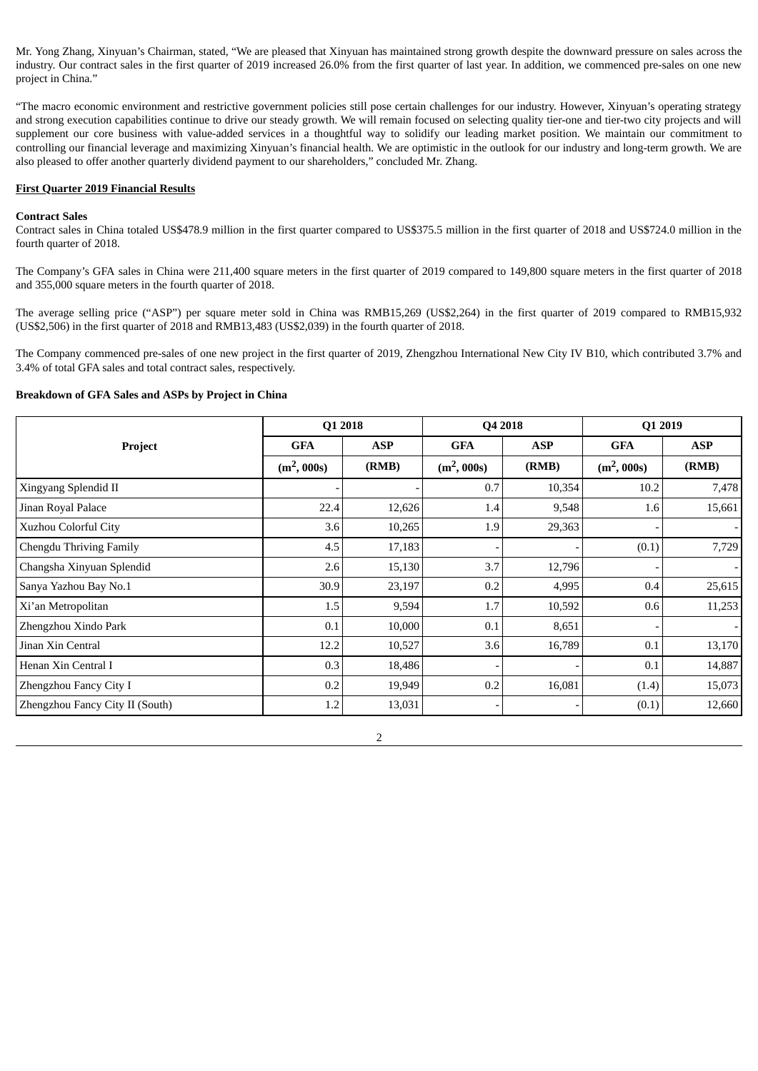Mr. Yong Zhang, Xinyuan's Chairman, stated, "We are pleased that Xinyuan has maintained strong growth despite the downward pressure on sales across the industry. Our contract sales in the first quarter of 2019 increased 26.0% from the first quarter of last year. In addition, we commenced pre-sales on one new project in China."

"The macro economic environment and restrictive government policies still pose certain challenges for our industry. However, Xinyuan's operating strategy and strong execution capabilities continue to drive our steady growth. We will remain focused on selecting quality tier-one and tier-two city projects and will supplement our core business with value-added services in a thoughtful way to solidify our leading market position. We maintain our commitment to controlling our financial leverage and maximizing Xinyuan's financial health. We are optimistic in the outlook for our industry and long-term growth. We are also pleased to offer another quarterly dividend payment to our shareholders," concluded Mr. Zhang.

#### **First Quarter 2019 Financial Results**

#### **Contract Sales**

Contract sales in China totaled US\$478.9 million in the first quarter compared to US\$375.5 million in the first quarter of 2018 and US\$724.0 million in the fourth quarter of 2018.

The Company's GFA sales in China were 211,400 square meters in the first quarter of 2019 compared to 149,800 square meters in the first quarter of 2018 and 355,000 square meters in the fourth quarter of 2018.

The average selling price ("ASP") per square meter sold in China was RMB15,269 (US\$2,264) in the first quarter of 2019 compared to RMB15,932 (US\$2,506) in the first quarter of 2018 and RMB13,483 (US\$2,039) in the fourth quarter of 2018.

The Company commenced pre-sales of one new project in the first quarter of 2019, Zhengzhou International New City IV B10, which contributed 3.7% and 3.4% of total GFA sales and total contract sales, respectively.

### **Breakdown of GFA Sales and ASPs by Project in China**

|                                 | Q1 2018       |            | Q4 2018       |            | Q1 2019       |                          |
|---------------------------------|---------------|------------|---------------|------------|---------------|--------------------------|
| Project                         | <b>GFA</b>    | <b>ASP</b> | <b>GFA</b>    | <b>ASP</b> | <b>GFA</b>    | <b>ASP</b>               |
|                                 | $(m^2, 000s)$ | (RMB)      | $(m^2, 000s)$ | (RMB)      | $(m^2, 000s)$ | (RMB)                    |
| Xingyang Splendid II            |               |            | 0.7           | 10,354     | 10.2          | 7,478                    |
| Jinan Royal Palace              | 22.4          | 12,626     | 1.4           | 9,548      | 1.6           | 15,661                   |
| Xuzhou Colorful City            | 3.6           | 10,265     | 1.9           | 29,363     |               |                          |
| Chengdu Thriving Family         | 4.5           | 17,183     |               |            | (0.1)         | 7,729                    |
| Changsha Xinyuan Splendid       | 2.6           | 15,130     | 3.7           | 12,796     |               | $\overline{\phantom{a}}$ |
| Sanya Yazhou Bay No.1           | 30.9          | 23,197     | 0.2           | 4,995      | 0.4           | 25,615                   |
| Xi'an Metropolitan              | 1.5           | 9,594      | 1.7           | 10,592     | 0.6           | 11,253                   |
| Zhengzhou Xindo Park            | 0.1           | 10,000     | 0.1           | 8,651      |               |                          |
| Jinan Xin Central               | 12.2          | 10,527     | 3.6           | 16,789     | 0.1           | 13,170                   |
| Henan Xin Central I             | 0.3           | 18,486     |               |            | 0.1           | 14,887                   |
| Zhengzhou Fancy City I          | 0.2           | 19,949     | 0.2           | 16,081     | (1.4)         | 15,073                   |
| Zhengzhou Fancy City II (South) | 1.2           | 13,031     |               |            | (0.1)         | 12,660                   |

2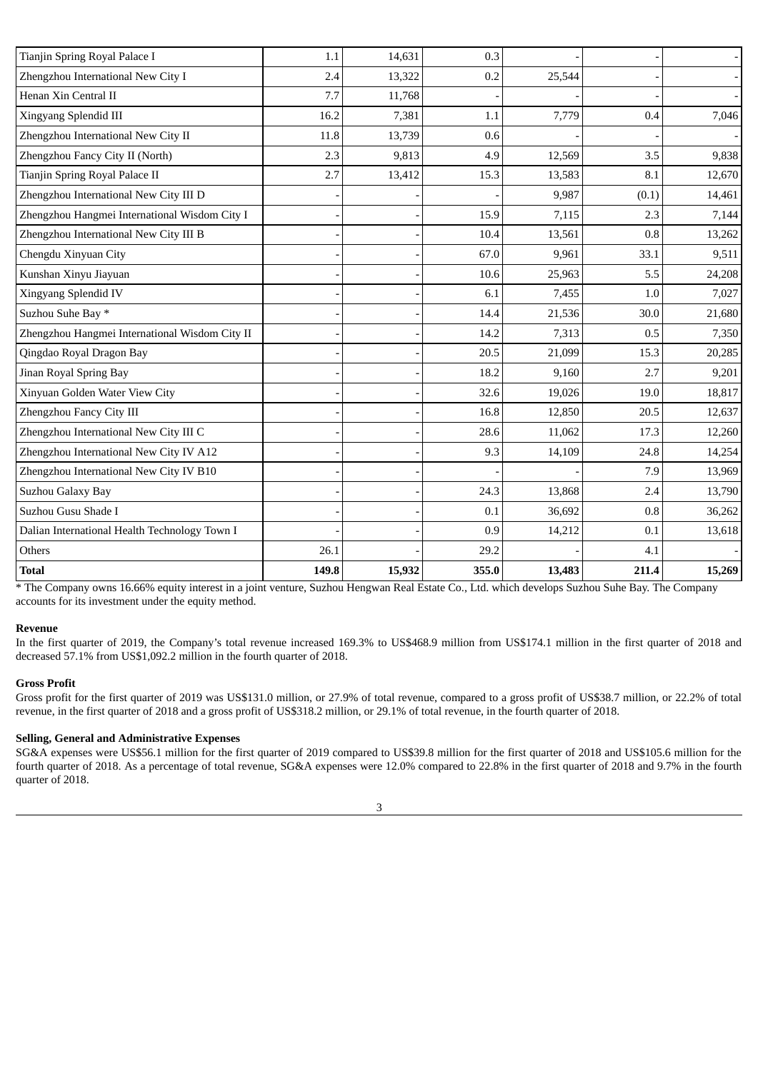| Tianjin Spring Royal Palace I                  | 1.1   | 14.631 | 0.3   |        |       |        |
|------------------------------------------------|-------|--------|-------|--------|-------|--------|
| Zhengzhou International New City I             | 2.4   | 13,322 | 0.2   | 25,544 |       |        |
| Henan Xin Central II                           | 7.7   | 11,768 |       |        |       |        |
| Xingyang Splendid III                          | 16.2  | 7,381  | 1.1   | 7,779  | 0.4   | 7,046  |
| Zhengzhou International New City II            | 11.8  | 13,739 | 0.6   |        |       |        |
| Zhengzhou Fancy City II (North)                | 2.3   | 9,813  | 4.9   | 12,569 | 3.5   | 9,838  |
| Tianjin Spring Royal Palace II                 | 2.7   | 13,412 | 15.3  | 13,583 | 8.1   | 12,670 |
| Zhengzhou International New City III D         |       |        |       | 9,987  | (0.1) | 14,461 |
| Zhengzhou Hangmei International Wisdom City I  |       |        | 15.9  | 7,115  | 2.3   | 7,144  |
| Zhengzhou International New City III B         |       |        | 10.4  | 13,561 | 0.8   | 13,262 |
| Chengdu Xinyuan City                           |       |        | 67.0  | 9,961  | 33.1  | 9,511  |
| Kunshan Xinyu Jiayuan                          |       |        | 10.6  | 25,963 | 5.5   | 24,208 |
| Xingyang Splendid IV                           |       |        | 6.1   | 7,455  | 1.0   | 7,027  |
| Suzhou Suhe Bay *                              |       |        | 14.4  | 21,536 | 30.0  | 21,680 |
| Zhengzhou Hangmei International Wisdom City II |       |        | 14.2  | 7,313  | 0.5   | 7,350  |
| Qingdao Royal Dragon Bay                       |       |        | 20.5  | 21,099 | 15.3  | 20,285 |
| Jinan Royal Spring Bay                         |       |        | 18.2  | 9,160  | 2.7   | 9,201  |
| Xinyuan Golden Water View City                 |       |        | 32.6  | 19,026 | 19.0  | 18,817 |
| Zhengzhou Fancy City III                       |       |        | 16.8  | 12,850 | 20.5  | 12,637 |
| Zhengzhou International New City III C         |       |        | 28.6  | 11,062 | 17.3  | 12,260 |
| Zhengzhou International New City IV A12        |       |        | 9.3   | 14,109 | 24.8  | 14,254 |
| Zhengzhou International New City IV B10        |       |        |       |        | 7.9   | 13,969 |
| Suzhou Galaxy Bay                              |       |        | 24.3  | 13,868 | 2.4   | 13,790 |
| Suzhou Gusu Shade I                            |       |        | 0.1   | 36,692 | 0.8   | 36,262 |
| Dalian International Health Technology Town I  |       |        | 0.9   | 14,212 | 0.1   | 13,618 |
| Others                                         | 26.1  |        | 29.2  |        | 4.1   |        |
| <b>Total</b>                                   | 149.8 | 15,932 | 355.0 | 13,483 | 211.4 | 15,269 |

\* The Company owns 16.66% equity interest in a joint venture, Suzhou Hengwan Real Estate Co., Ltd. which develops Suzhou Suhe Bay. The Company accounts for its investment under the equity method.

#### **Revenue**

In the first quarter of 2019, the Company's total revenue increased 169.3% to US\$468.9 million from US\$174.1 million in the first quarter of 2018 and decreased 57.1% from US\$1,092.2 million in the fourth quarter of 2018.

### **Gross Profit**

Gross profit for the first quarter of 2019 was US\$131.0 million, or 27.9% of total revenue, compared to a gross profit of US\$38.7 million, or 22.2% of total revenue, in the first quarter of 2018 and a gross profit of US\$318.2 million, or 29.1% of total revenue, in the fourth quarter of 2018.

### **Selling, General and Administrative Expenses**

SG&A expenses were US\$56.1 million for the first quarter of 2019 compared to US\$39.8 million for the first quarter of 2018 and US\$105.6 million for the fourth quarter of 2018. As a percentage of total revenue, SG&A expenses were 12.0% compared to 22.8% in the first quarter of 2018 and 9.7% in the fourth quarter of 2018.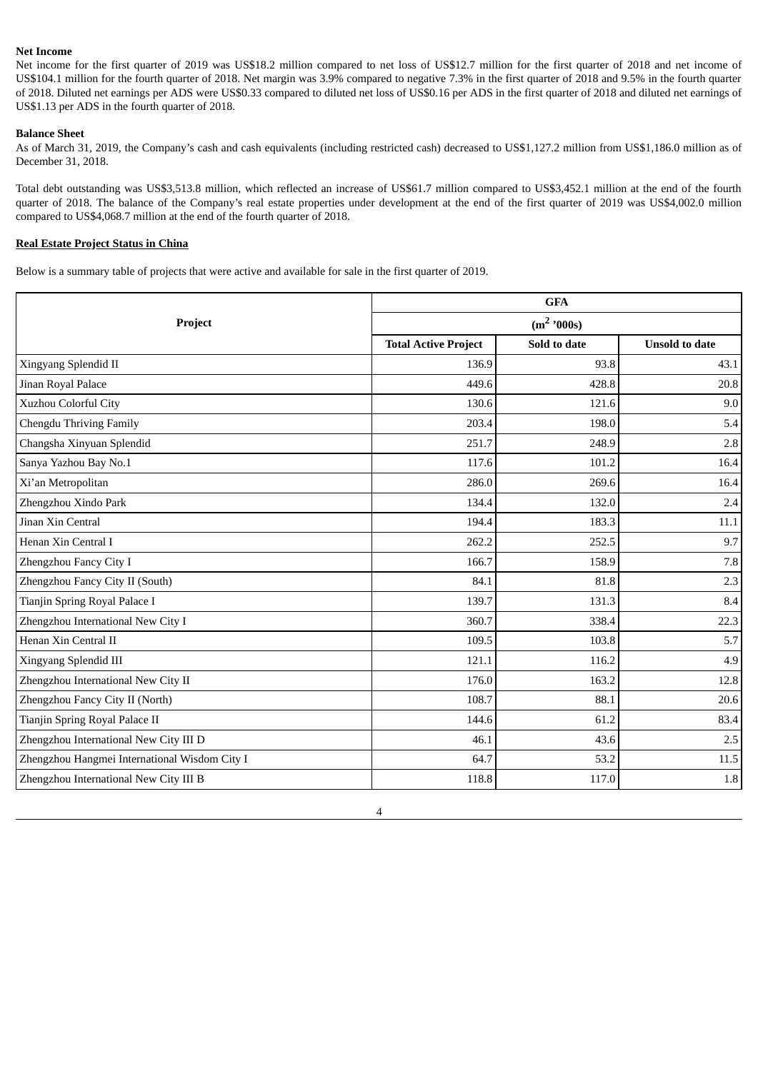### **Net Income**

Net income for the first quarter of 2019 was US\$18.2 million compared to net loss of US\$12.7 million for the first quarter of 2018 and net income of US\$104.1 million for the fourth quarter of 2018. Net margin was 3.9% compared to negative 7.3% in the first quarter of 2018 and 9.5% in the fourth quarter of 2018. Diluted net earnings per ADS were US\$0.33 compared to diluted net loss of US\$0.16 per ADS in the first quarter of 2018 and diluted net earnings of US\$1.13 per ADS in the fourth quarter of 2018.

### **Balance Sheet**

As of March 31, 2019, the Company's cash and cash equivalents (including restricted cash) decreased to US\$1,127.2 million from US\$1,186.0 million as of December 31, 2018.

Total debt outstanding was US\$3,513.8 million, which reflected an increase of US\$61.7 million compared to US\$3,452.1 million at the end of the fourth quarter of 2018. The balance of the Company's real estate properties under development at the end of the first quarter of 2019 was US\$4,002.0 million compared to US\$4,068.7 million at the end of the fourth quarter of 2018.

### **Real Estate Project Status in China**

Below is a summary table of projects that were active and available for sale in the first quarter of 2019.

| <b>GFA</b>                                    |                             |              |                       |  |  |
|-----------------------------------------------|-----------------------------|--------------|-----------------------|--|--|
| Project                                       | $(m^2$ '000s)               |              |                       |  |  |
|                                               | <b>Total Active Project</b> | Sold to date | <b>Unsold to date</b> |  |  |
| Xingyang Splendid II                          | 136.9                       | 93.8         | 43.1                  |  |  |
| Jinan Royal Palace                            | 449.6                       | 428.8        | 20.8                  |  |  |
| Xuzhou Colorful City                          | 130.6                       | 121.6        | 9.0                   |  |  |
| Chengdu Thriving Family                       | 203.4                       | 198.0        | 5.4                   |  |  |
| Changsha Xinyuan Splendid                     | 251.7                       | 248.9        | 2.8                   |  |  |
| Sanya Yazhou Bay No.1                         | 117.6                       | 101.2        | 16.4                  |  |  |
| Xi'an Metropolitan                            | 286.0                       | 269.6        | 16.4                  |  |  |
| Zhengzhou Xindo Park                          | 134.4                       | 132.0        | 2.4                   |  |  |
| Jinan Xin Central                             | 194.4                       | 183.3        | 11.1                  |  |  |
| Henan Xin Central I                           | 262.2                       | 252.5        | 9.7                   |  |  |
| Zhengzhou Fancy City I                        | 166.7                       | 158.9        | 7.8                   |  |  |
| Zhengzhou Fancy City II (South)               | 84.1                        | 81.8         | 2.3                   |  |  |
| Tianjin Spring Royal Palace I                 | 139.7                       | 131.3        | 8.4                   |  |  |
| Zhengzhou International New City I            | 360.7                       | 338.4        | 22.3                  |  |  |
| Henan Xin Central II                          | 109.5                       | 103.8        | 5.7                   |  |  |
| Xingyang Splendid III                         | 121.1                       | 116.2        | 4.9                   |  |  |
| Zhengzhou International New City II           | 176.0                       | 163.2        | 12.8                  |  |  |
| Zhengzhou Fancy City II (North)               | 108.7                       | 88.1         | 20.6                  |  |  |
| Tianjin Spring Royal Palace II                | 144.6                       | 61.2         | 83.4                  |  |  |
| Zhengzhou International New City III D        | 46.1                        | 43.6         | 2.5                   |  |  |
| Zhengzhou Hangmei International Wisdom City I | 64.7                        | 53.2         | 11.5                  |  |  |
| Zhengzhou International New City III B        | 118.8                       | 117.0        | $1.8\,$               |  |  |

4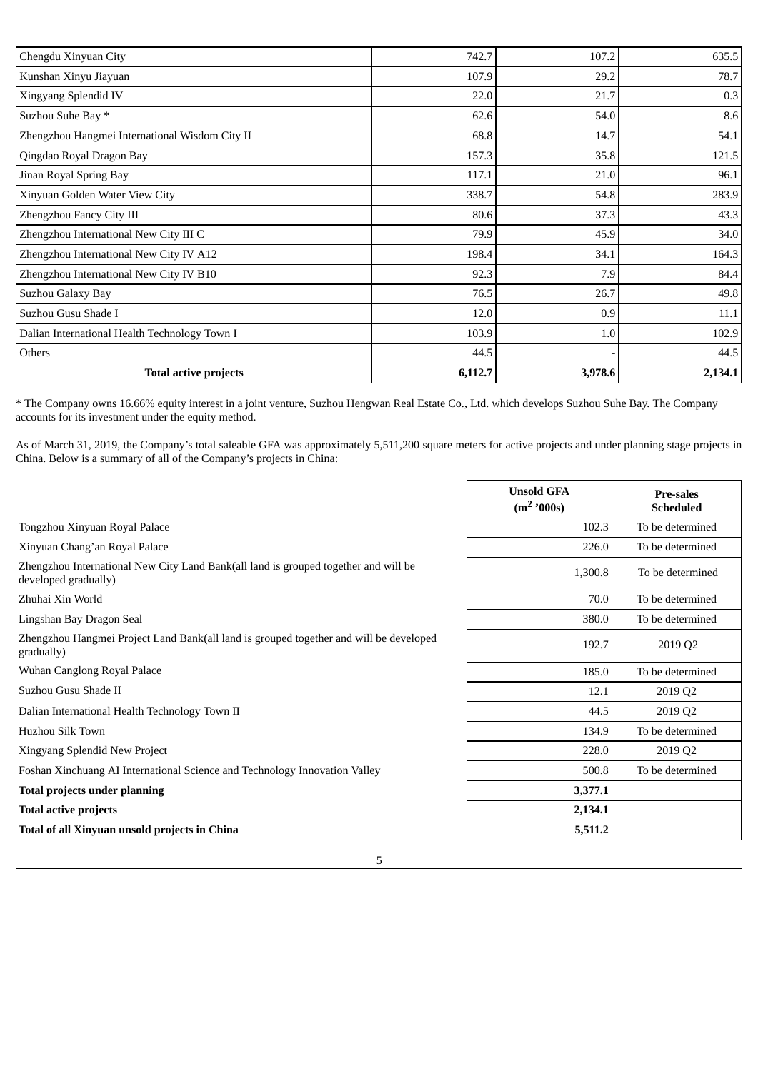| Chengdu Xinyuan City                           | 742.7   | 107.2   | 635.5   |
|------------------------------------------------|---------|---------|---------|
| Kunshan Xinyu Jiayuan                          | 107.9   | 29.2    | 78.7    |
| Xingyang Splendid IV                           | 22.0    | 21.7    | 0.3     |
| Suzhou Suhe Bay *                              | 62.6    | 54.0    | 8.6     |
| Zhengzhou Hangmei International Wisdom City II | 68.8    | 14.7    | 54.1    |
| Qingdao Royal Dragon Bay                       | 157.3   | 35.8    | 121.5   |
| Jinan Royal Spring Bay                         | 117.1   | 21.0    | 96.1    |
| Xinyuan Golden Water View City                 | 338.7   | 54.8    | 283.9   |
| Zhengzhou Fancy City III                       | 80.6    | 37.3    | 43.3    |
| Zhengzhou International New City III C         | 79.9    | 45.9    | 34.0    |
| Zhengzhou International New City IV A12        | 198.4   | 34.1    | 164.3   |
| Zhengzhou International New City IV B10        | 92.3    | 7.9     | 84.4    |
| Suzhou Galaxy Bay                              | 76.5    | 26.7    | 49.8    |
| Suzhou Gusu Shade I                            | 12.0    | 0.9     | 11.1    |
| Dalian International Health Technology Town I  | 103.9   | 1.0     | 102.9   |
| Others                                         | 44.5    |         | 44.5    |
| <b>Total active projects</b>                   | 6,112.7 | 3,978.6 | 2,134.1 |

\* The Company owns 16.66% equity interest in a joint venture, Suzhou Hengwan Real Estate Co., Ltd. which develops Suzhou Suhe Bay. The Company accounts for its investment under the equity method.

As of March 31, 2019, the Company's total saleable GFA was approximately 5,511,200 square meters for active projects and under planning stage projects in China. Below is a summary of all of the Company's projects in China:

|                                                                                                             | <b>Unsold GFA</b><br>$(m^2$ '000s) | <b>Pre-sales</b><br><b>Scheduled</b> |
|-------------------------------------------------------------------------------------------------------------|------------------------------------|--------------------------------------|
| Tongzhou Xinyuan Royal Palace                                                                               | 102.3                              | To be determined                     |
| Xinyuan Chang'an Royal Palace                                                                               | 226.0                              | To be determined                     |
| Zhengzhou International New City Land Bank(all land is grouped together and will be<br>developed gradually) | 1,300.8                            | To be determined                     |
| Zhuhai Xin World                                                                                            | 70.0                               | To be determined                     |
| Lingshan Bay Dragon Seal                                                                                    | 380.0                              | To be determined                     |
| Zhengzhou Hangmei Project Land Bank(all land is grouped together and will be developed<br>gradually)        | 192.7                              | 2019 Q2                              |
| Wuhan Canglong Royal Palace                                                                                 | 185.0                              | To be determined                     |
| Suzhou Gusu Shade II                                                                                        | 12.1                               | 2019 Q2                              |
| Dalian International Health Technology Town II                                                              | 44.5                               | 2019 Q2                              |
| Huzhou Silk Town                                                                                            | 134.9                              | To be determined                     |
| Xingyang Splendid New Project                                                                               | 228.0                              | 2019 Q2                              |
| Foshan Xinchuang AI International Science and Technology Innovation Valley                                  | 500.8                              | To be determined                     |
| <b>Total projects under planning</b>                                                                        | 3,377.1                            |                                      |
| <b>Total active projects</b>                                                                                | 2,134.1                            |                                      |
| Total of all Xinyuan unsold projects in China                                                               | 5,511.2                            |                                      |
| 5                                                                                                           |                                    |                                      |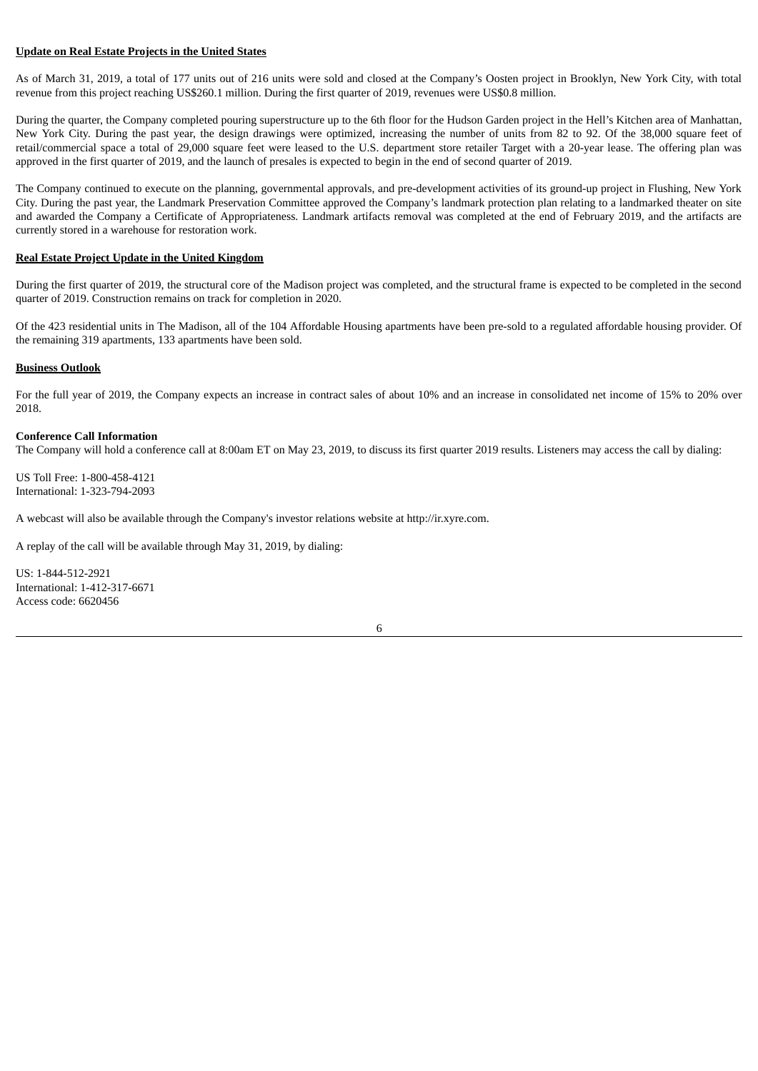### **Update on Real Estate Projects in the United States**

As of March 31, 2019, a total of 177 units out of 216 units were sold and closed at the Company's Oosten project in Brooklyn, New York City, with total revenue from this project reaching US\$260.1 million. During the first quarter of 2019, revenues were US\$0.8 million.

During the quarter, the Company completed pouring superstructure up to the 6th floor for the Hudson Garden project in the Hell's Kitchen area of Manhattan, New York City. During the past year, the design drawings were optimized, increasing the number of units from 82 to 92. Of the 38,000 square feet of retail/commercial space a total of 29,000 square feet were leased to the U.S. department store retailer Target with a 20-year lease. The offering plan was approved in the first quarter of 2019, and the launch of presales is expected to begin in the end of second quarter of 2019.

The Company continued to execute on the planning, governmental approvals, and pre-development activities of its ground-up project in Flushing, New York City. During the past year, the Landmark Preservation Committee approved the Company's landmark protection plan relating to a landmarked theater on site and awarded the Company a Certificate of Appropriateness. Landmark artifacts removal was completed at the end of February 2019, and the artifacts are currently stored in a warehouse for restoration work.

### **Real Estate Project Update in the United Kingdom**

During the first quarter of 2019, the structural core of the Madison project was completed, and the structural frame is expected to be completed in the second quarter of 2019. Construction remains on track for completion in 2020.

Of the 423 residential units in The Madison, all of the 104 Affordable Housing apartments have been pre-sold to a regulated affordable housing provider. Of the remaining 319 apartments, 133 apartments have been sold.

#### **Business Outlook**

For the full year of 2019, the Company expects an increase in contract sales of about 10% and an increase in consolidated net income of 15% to 20% over 2018.

#### **Conference Call Information**

The Company will hold a conference call at 8:00am ET on May 23, 2019, to discuss its first quarter 2019 results. Listeners may access the call by dialing:

US Toll Free: 1-800-458-4121 International: 1-323-794-2093

A webcast will also be available through the Company's investor relations website at http://ir.xyre.com.

A replay of the call will be available through May 31, 2019, by dialing:

US: 1-844-512-2921 International: 1-412-317-6671 Access code: 6620456

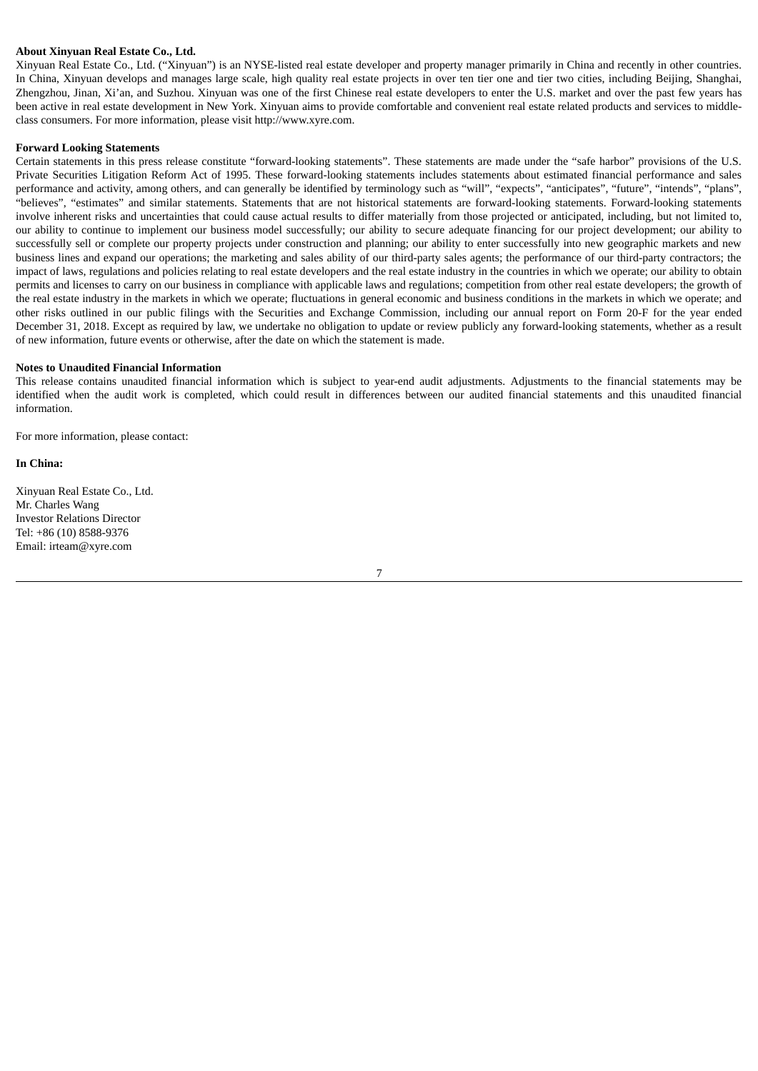### **About Xinyuan Real Estate Co., Ltd.**

Xinyuan Real Estate Co., Ltd. ("Xinyuan") is an NYSE-listed real estate developer and property manager primarily in China and recently in other countries. In China, Xinyuan develops and manages large scale, high quality real estate projects in over ten tier one and tier two cities, including Beijing, Shanghai, Zhengzhou, Jinan, Xi'an, and Suzhou. Xinyuan was one of the first Chinese real estate developers to enter the U.S. market and over the past few years has been active in real estate development in New York. Xinyuan aims to provide comfortable and convenient real estate related products and services to middleclass consumers. For more information, please visit http://www.xyre.com.

#### **Forward Looking Statements**

Certain statements in this press release constitute "forward-looking statements". These statements are made under the "safe harbor" provisions of the U.S. Private Securities Litigation Reform Act of 1995. These forward-looking statements includes statements about estimated financial performance and sales performance and activity, among others, and can generally be identified by terminology such as "will", "expects", "anticipates", "future", "intends", "plans", "believes", "estimates" and similar statements. Statements that are not historical statements are forward-looking statements. Forward-looking statements involve inherent risks and uncertainties that could cause actual results to differ materially from those projected or anticipated, including, but not limited to, our ability to continue to implement our business model successfully; our ability to secure adequate financing for our project development; our ability to successfully sell or complete our property projects under construction and planning; our ability to enter successfully into new geographic markets and new business lines and expand our operations; the marketing and sales ability of our third-party sales agents; the performance of our third-party contractors; the impact of laws, regulations and policies relating to real estate developers and the real estate industry in the countries in which we operate; our ability to obtain permits and licenses to carry on our business in compliance with applicable laws and regulations; competition from other real estate developers; the growth of the real estate industry in the markets in which we operate; fluctuations in general economic and business conditions in the markets in which we operate; and other risks outlined in our public filings with the Securities and Exchange Commission, including our annual report on Form 20-F for the year ended December 31, 2018. Except as required by law, we undertake no obligation to update or review publicly any forward-looking statements, whether as a result of new information, future events or otherwise, after the date on which the statement is made.

#### **Notes to Unaudited Financial Information**

This release contains unaudited financial information which is subject to year-end audit adjustments. Adjustments to the financial statements may be identified when the audit work is completed, which could result in differences between our audited financial statements and this unaudited financial information.

For more information, please contact:

#### **In China:**

Xinyuan Real Estate Co., Ltd. Mr. Charles Wang Investor Relations Director Tel: +86 (10) 8588-9376 Email: irteam@xyre.com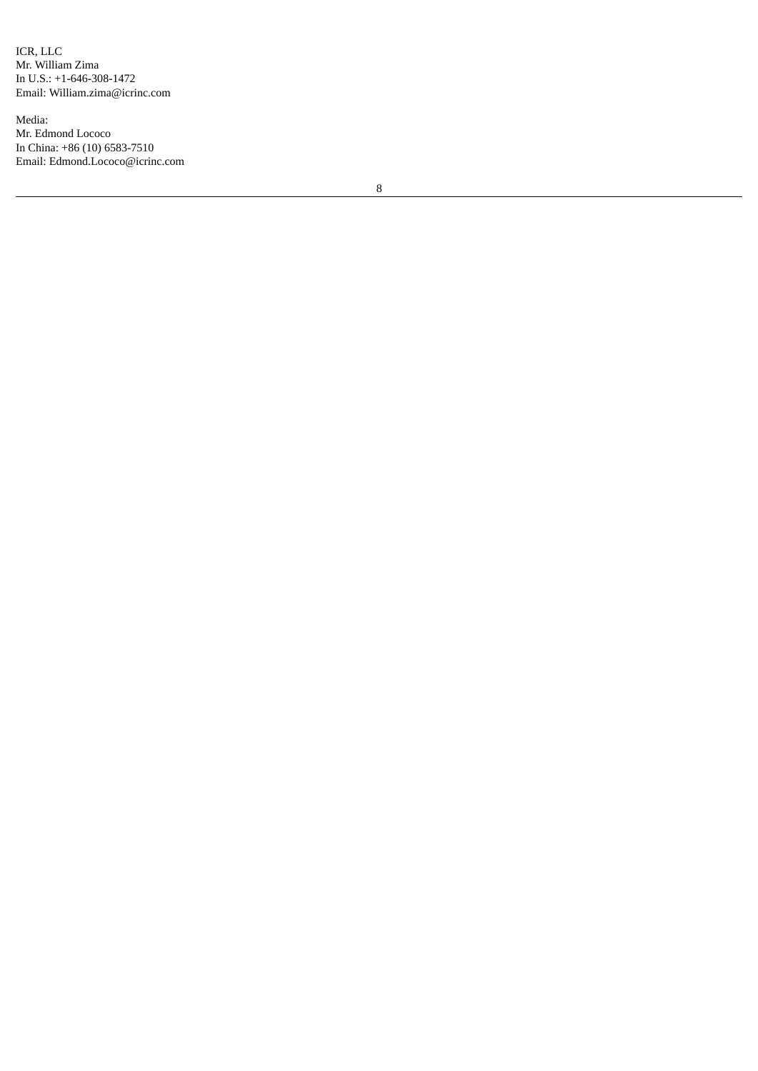ICR, LLC Mr. William Zima In U.S.: +1-646-308-1472 Email: William.zima@icrinc.com

Media: Mr. Edmond Lococo In China: +86 (10) 6583-7510 Email: Edmond.Lococo@icrinc.com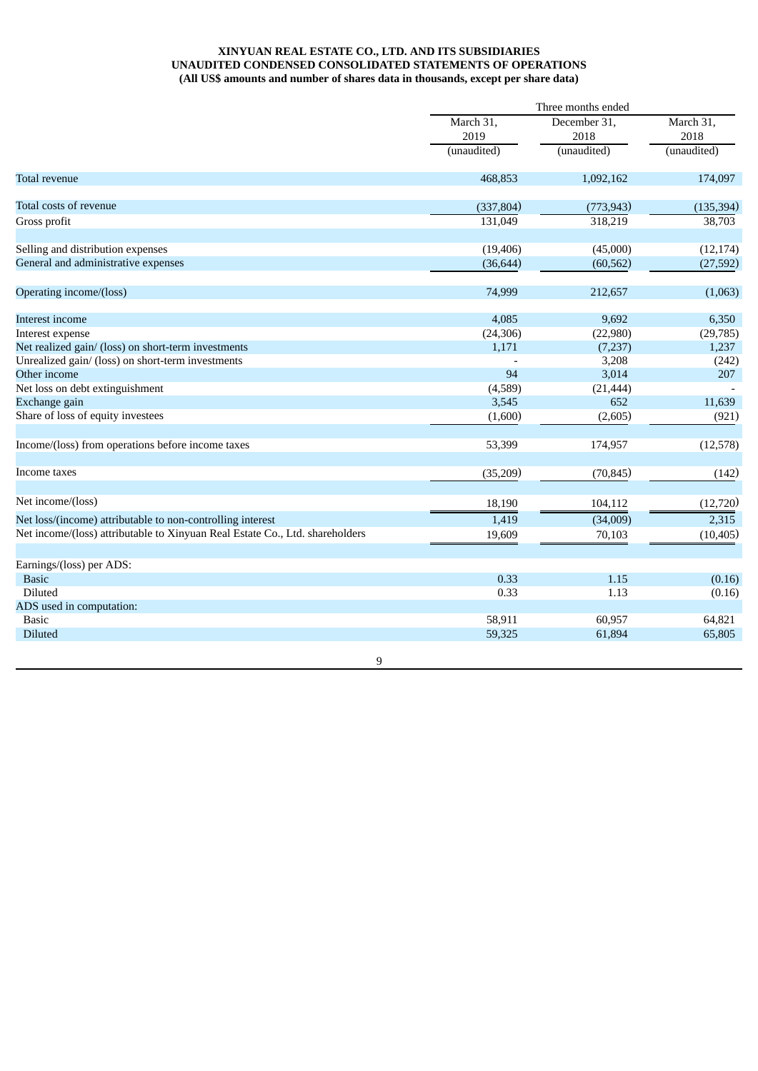## **XINYUAN REAL ESTATE CO., LTD. AND ITS SUBSIDIARIES UNAUDITED CONDENSED CONSOLIDATED STATEMENTS OF OPERATIONS (All US\$ amounts and number of shares data in thousands, except per share data)**

|                                                                              |             | Three months ended |                                  |  |  |
|------------------------------------------------------------------------------|-------------|--------------------|----------------------------------|--|--|
|                                                                              | March 31,   | December 31,       | March 31,<br>2018<br>(unaudited) |  |  |
|                                                                              | 2019        | 2018               |                                  |  |  |
|                                                                              | (unaudited) | (unaudited)        |                                  |  |  |
| Total revenue                                                                | 468,853     | 1,092,162          | 174,097                          |  |  |
| Total costs of revenue                                                       | (337, 804)  | (773, 943)         | (135, 394)                       |  |  |
| Gross profit                                                                 | 131,049     | 318,219            | 38,703                           |  |  |
| Selling and distribution expenses                                            | (19, 406)   | (45,000)           | (12, 174)                        |  |  |
| General and administrative expenses                                          | (36, 644)   | (60, 562)          | (27, 592)                        |  |  |
| Operating income/(loss)                                                      | 74,999      | 212,657            | (1,063)                          |  |  |
| Interest income                                                              | 4,085       | 9,692              | 6,350                            |  |  |
| Interest expense                                                             | (24, 306)   | (22,980)           | (29, 785)                        |  |  |
| Net realized gain/ (loss) on short-term investments                          | 1,171       | (7,237)            | 1,237                            |  |  |
| Unrealized gain/ (loss) on short-term investments                            |             | 3,208              | (242)                            |  |  |
| Other income                                                                 | 94          | 3,014              | 207                              |  |  |
| Net loss on debt extinguishment                                              | (4,589)     | (21, 444)          |                                  |  |  |
| Exchange gain                                                                | 3,545       | 652                | 11,639                           |  |  |
| Share of loss of equity investees                                            | (1,600)     | (2,605)            | (921)                            |  |  |
| Income/(loss) from operations before income taxes                            | 53,399      | 174,957            | (12, 578)                        |  |  |
| Income taxes                                                                 | (35,209)    | (70, 845)          | (142)                            |  |  |
| Net income/(loss)                                                            | 18,190      | 104,112            | (12, 720)                        |  |  |
| Net loss/(income) attributable to non-controlling interest                   | 1,419       | (34,009)           | 2,315                            |  |  |
| Net income/(loss) attributable to Xinyuan Real Estate Co., Ltd. shareholders | 19,609      | 70,103             | (10, 405)                        |  |  |
|                                                                              |             |                    |                                  |  |  |
| Earnings/(loss) per ADS:                                                     |             |                    |                                  |  |  |
| <b>Basic</b>                                                                 | 0.33        | 1.15               | (0.16)                           |  |  |
| Diluted                                                                      | 0.33        | 1.13               | (0.16)                           |  |  |
| ADS used in computation:                                                     |             |                    |                                  |  |  |
| <b>Basic</b>                                                                 | 58,911      | 60,957             | 64,821                           |  |  |
| <b>Diluted</b>                                                               | 59,325      | 61,894             | 65,805                           |  |  |
| 9                                                                            |             |                    |                                  |  |  |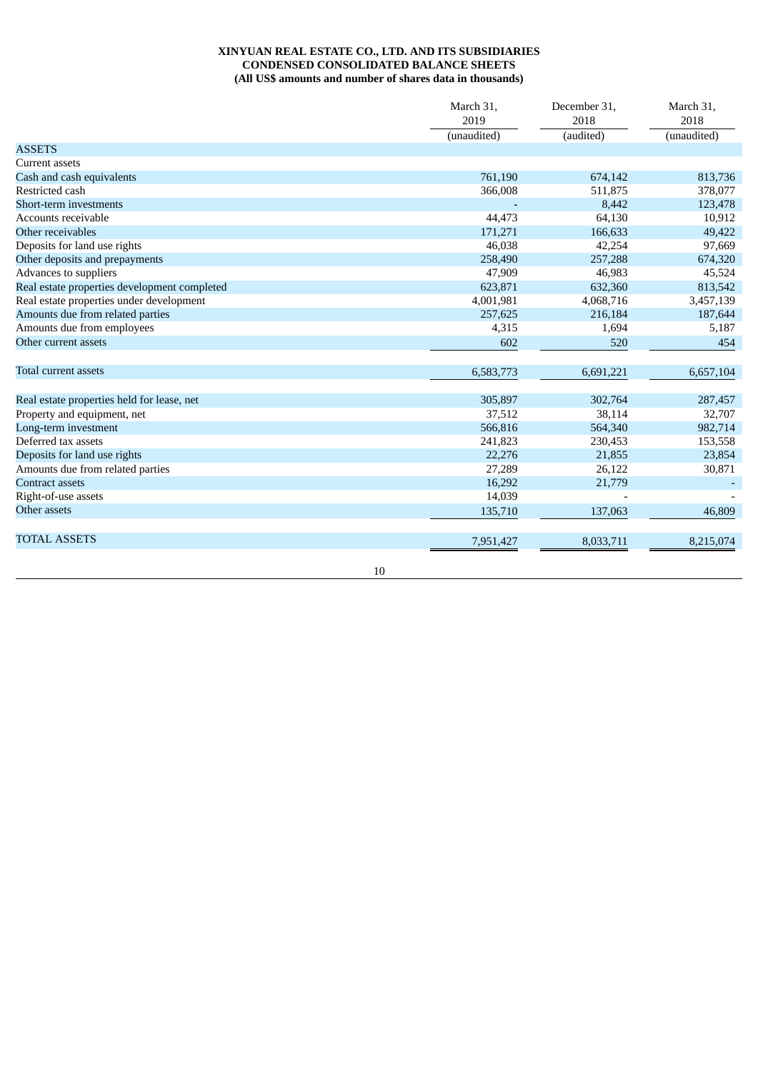# **XINYUAN REAL ESTATE CO., LTD. AND ITS SUBSIDIARIES CONDENSED CONSOLIDATED BALANCE SHEETS (All US\$ amounts and number of shares data in thousands)**

|                                              | March 31,   | December 31, | March 31,   |
|----------------------------------------------|-------------|--------------|-------------|
|                                              | 2019        | 2018         | 2018        |
|                                              | (unaudited) | (audited)    | (unaudited) |
| <b>ASSETS</b>                                |             |              |             |
| Current assets                               |             |              |             |
| Cash and cash equivalents                    | 761,190     | 674,142      | 813,736     |
| Restricted cash                              | 366,008     | 511,875      | 378,077     |
| Short-term investments                       |             | 8,442        | 123,478     |
| Accounts receivable                          | 44,473      | 64,130       | 10,912      |
| Other receivables                            | 171,271     | 166,633      | 49,422      |
| Deposits for land use rights                 | 46,038      | 42,254       | 97,669      |
| Other deposits and prepayments               | 258,490     | 257,288      | 674,320     |
| Advances to suppliers                        | 47,909      | 46,983       | 45,524      |
| Real estate properties development completed | 623,871     | 632,360      | 813,542     |
| Real estate properties under development     | 4,001,981   | 4,068,716    | 3,457,139   |
| Amounts due from related parties             | 257,625     | 216,184      | 187,644     |
| Amounts due from employees                   | 4,315       | 1,694        | 5,187       |
| Other current assets                         | 602         | 520          | 454         |
| Total current assets                         | 6,583,773   | 6,691,221    | 6,657,104   |
| Real estate properties held for lease, net   | 305,897     | 302,764      | 287,457     |
| Property and equipment, net                  | 37,512      | 38,114       | 32,707      |
| Long-term investment                         | 566,816     | 564,340      | 982,714     |
| Deferred tax assets                          | 241,823     | 230,453      | 153,558     |
| Deposits for land use rights                 | 22,276      | 21,855       | 23,854      |
| Amounts due from related parties             | 27,289      | 26,122       | 30,871      |
| <b>Contract assets</b>                       | 16,292      | 21,779       |             |
| Right-of-use assets                          | 14,039      |              |             |
| Other assets                                 | 135,710     | 137,063      | 46.809      |
| <b>TOTAL ASSETS</b>                          | 7,951,427   | 8,033,711    | 8,215,074   |

10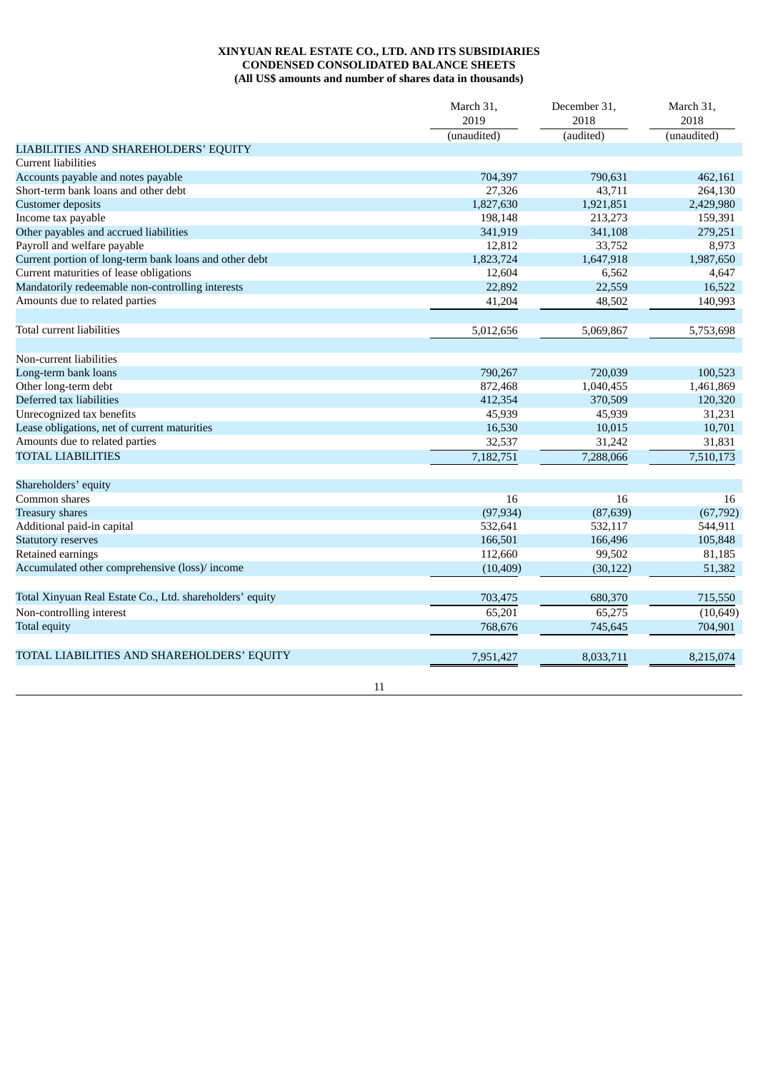# **XINYUAN REAL ESTATE CO., LTD. AND ITS SUBSIDIARIES CONDENSED CONSOLIDATED BALANCE SHEETS (All US\$ amounts and number of shares data in thousands)**

|                                                          | March 31,<br>2019 | December 31,<br>2018 | March 31,<br>2018 |
|----------------------------------------------------------|-------------------|----------------------|-------------------|
|                                                          | (unaudited)       | (audited)            | (unaudited)       |
| LIABILITIES AND SHAREHOLDERS' EQUITY                     |                   |                      |                   |
| <b>Current liabilities</b>                               |                   |                      |                   |
| Accounts payable and notes payable                       | 704,397           | 790,631              | 462,161           |
| Short-term bank loans and other debt                     | 27,326            | 43,711               | 264,130           |
| <b>Customer</b> deposits                                 | 1,827,630         | 1,921,851            | 2,429,980         |
| Income tax payable                                       | 198,148           | 213,273              | 159,391           |
| Other payables and accrued liabilities                   | 341,919           | 341,108              | 279,251           |
| Payroll and welfare payable                              | 12,812            | 33,752               | 8,973             |
| Current portion of long-term bank loans and other debt   | 1,823,724         | 1,647,918            | 1,987,650         |
| Current maturities of lease obligations                  | 12,604            | 6,562                | 4,647             |
| Mandatorily redeemable non-controlling interests         | 22,892            | 22,559               | 16,522            |
| Amounts due to related parties                           | 41,204            | 48,502               | 140,993           |
| Total current liabilities                                | 5,012,656         | 5,069,867            | 5,753,698         |
| Non-current liabilities                                  |                   |                      |                   |
| Long-term bank loans                                     | 790,267           | 720,039              | 100,523           |
| Other long-term debt                                     | 872,468           | 1,040,455            | 1,461,869         |
| Deferred tax liabilities                                 | 412,354           | 370,509              | 120,320           |
| Unrecognized tax benefits                                | 45,939            | 45,939               | 31,231            |
| Lease obligations, net of current maturities             | 16,530            | 10,015               | 10,701            |
| Amounts due to related parties                           | 32,537            | 31,242               | 31,831            |
| <b>TOTAL LIABILITIES</b>                                 | 7,182,751         | 7,288,066            | 7,510,173         |
| Shareholders' equity                                     |                   |                      |                   |
| Common shares                                            | 16                | 16                   | 16                |
| <b>Treasury shares</b>                                   | (97, 934)         | (87, 639)            | (67, 792)         |
| Additional paid-in capital                               | 532,641           | 532,117              | 544,911           |
| <b>Statutory reserves</b>                                | 166,501           | 166,496              | 105,848           |
| Retained earnings                                        | 112,660           | 99,502               | 81,185            |
| Accumulated other comprehensive (loss)/ income           | (10, 409)         | (30, 122)            | 51,382            |
|                                                          |                   |                      |                   |
| Total Xinyuan Real Estate Co., Ltd. shareholders' equity | 703,475           | 680,370              | 715,550           |
| Non-controlling interest                                 | 65,201            | 65,275               | (10, 649)         |
| Total equity                                             | 768,676           | 745,645              | 704,901           |
| TOTAL LIABILITIES AND SHAREHOLDERS' EQUITY               | 7,951,427         | 8,033,711            | 8,215,074         |
|                                                          | 11                |                      |                   |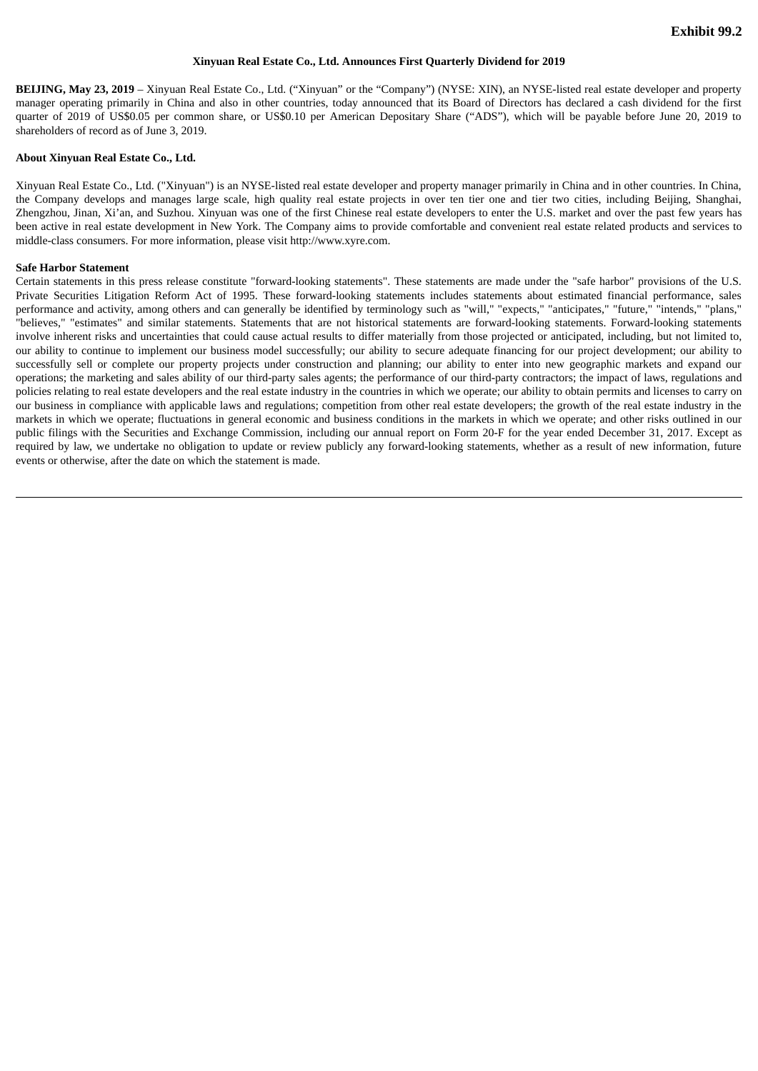#### **Xinyuan Real Estate Co., Ltd. Announces First Quarterly Dividend for 2019**

**BEIJING, May 23, 2019** – Xinyuan Real Estate Co., Ltd. ("Xinyuan" or the "Company") (NYSE: XIN), an NYSE-listed real estate developer and property manager operating primarily in China and also in other countries, today announced that its Board of Directors has declared a cash dividend for the first quarter of 2019 of US\$0.05 per common share, or US\$0.10 per American Depositary Share ("ADS"), which will be payable before June 20, 2019 to shareholders of record as of June 3, 2019.

#### **About Xinyuan Real Estate Co., Ltd.**

Xinyuan Real Estate Co., Ltd. ("Xinyuan") is an NYSE-listed real estate developer and property manager primarily in China and in other countries. In China, the Company develops and manages large scale, high quality real estate projects in over ten tier one and tier two cities, including Beijing, Shanghai, Zhengzhou, Jinan, Xi'an, and Suzhou. Xinyuan was one of the first Chinese real estate developers to enter the U.S. market and over the past few years has been active in real estate development in New York. The Company aims to provide comfortable and convenient real estate related products and services to middle-class consumers. For more information, please visit http://www.xyre.com.

#### **Safe Harbor Statement**

Certain statements in this press release constitute "forward-looking statements". These statements are made under the "safe harbor" provisions of the U.S. Private Securities Litigation Reform Act of 1995. These forward-looking statements includes statements about estimated financial performance, sales performance and activity, among others and can generally be identified by terminology such as "will," "expects," "anticipates," "future," "intends," "plans," "believes," "estimates" and similar statements. Statements that are not historical statements are forward-looking statements. Forward-looking statements involve inherent risks and uncertainties that could cause actual results to differ materially from those projected or anticipated, including, but not limited to, our ability to continue to implement our business model successfully; our ability to secure adequate financing for our project development; our ability to successfully sell or complete our property projects under construction and planning; our ability to enter into new geographic markets and expand our operations; the marketing and sales ability of our third-party sales agents; the performance of our third-party contractors; the impact of laws, regulations and policies relating to real estate developers and the real estate industry in the countries in which we operate; our ability to obtain permits and licenses to carry on our business in compliance with applicable laws and regulations; competition from other real estate developers; the growth of the real estate industry in the markets in which we operate; fluctuations in general economic and business conditions in the markets in which we operate; and other risks outlined in our public filings with the Securities and Exchange Commission, including our annual report on Form 20-F for the year ended December 31, 2017. Except as required by law, we undertake no obligation to update or review publicly any forward-looking statements, whether as a result of new information, future events or otherwise, after the date on which the statement is made.